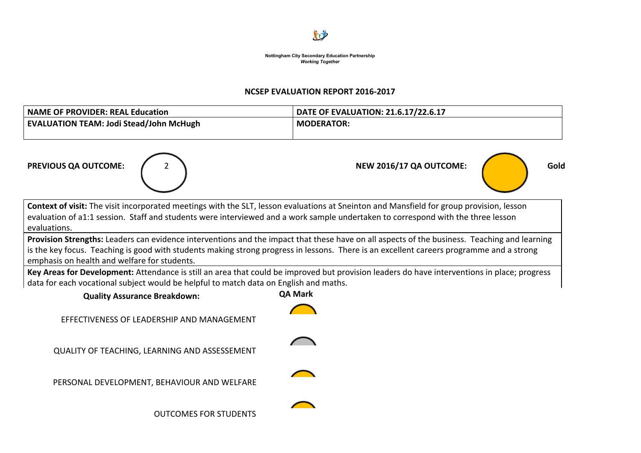

#### **NCSEP EVALUATION REPORT 2016-2017**

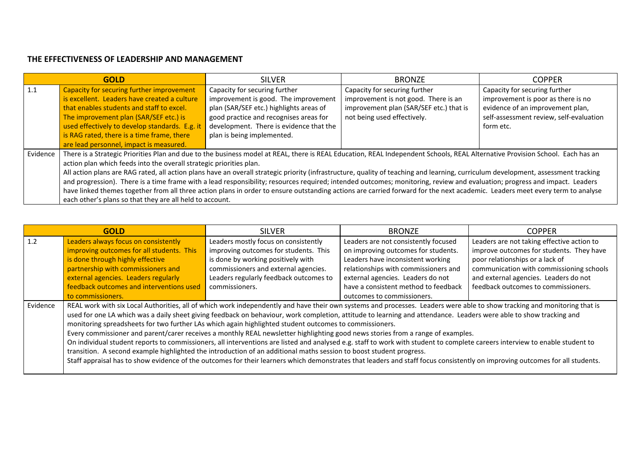|          | <b>GOLD</b>                                                                                                                                                                        | <b>SILVER</b>                           | <b>BRONZF</b>                           | <b>COPPER</b>                           |  |
|----------|------------------------------------------------------------------------------------------------------------------------------------------------------------------------------------|-----------------------------------------|-----------------------------------------|-----------------------------------------|--|
| 1.1      | Capacity for securing further improvement                                                                                                                                          | Capacity for securing further           | Capacity for securing further           | Capacity for securing further           |  |
|          | is excellent. Leaders have created a culture                                                                                                                                       | improvement is good. The improvement    | improvement is not good. There is an    | improvement is poor as there is no      |  |
|          | that enables students and staff to excel.                                                                                                                                          | plan (SAR/SEF etc.) highlights areas of | improvement plan (SAR/SEF etc.) that is | evidence of an improvement plan,        |  |
|          | The improvement plan (SAR/SEF etc.) is                                                                                                                                             | good practice and recognises areas for  | not being used effectively.             | self-assessment review, self-evaluation |  |
|          | used effectively to develop standards. E.g. it                                                                                                                                     | development. There is evidence that the |                                         | form etc.                               |  |
|          | is RAG rated, there is a time frame, there                                                                                                                                         | plan is being implemented.              |                                         |                                         |  |
|          | are lead personnel, impact is measured.                                                                                                                                            |                                         |                                         |                                         |  |
| Evidence | There is a Strategic Priorities Plan and due to the business model at REAL, there is REAL Education, REAL Independent Schools, REAL Alternative Provision School. Each has an      |                                         |                                         |                                         |  |
|          | action plan which feeds into the overall strategic priorities plan.                                                                                                                |                                         |                                         |                                         |  |
|          | All action plans are RAG rated, all action plans have an overall strategic priority (infrastructure, quality of teaching and learning, curriculum development, assessment tracking |                                         |                                         |                                         |  |
|          | and progression). There is a time frame with a lead responsibility; resources required; intended outcomes; monitoring, review and evaluation; progress and impact. Leaders         |                                         |                                         |                                         |  |
|          | have linked themes together from all three action plans in order to ensure outstanding actions are carried forward for the next academic. Leaders meet every term to analyse       |                                         |                                         |                                         |  |
|          | each other's plans so that they are all held to account.                                                                                                                           |                                         |                                         |                                         |  |

| <b>GOLD</b> |                                                                                                                                                                                                                                                                                                                                                                                                                                                                                                                                                                                                                                                                                                                                                                                                                                                                                                                                                                                                                                                                                     | <b>SILVER</b>                          | <b>BRONZE</b>                        | <b>COPPER</b>                              |  |
|-------------|-------------------------------------------------------------------------------------------------------------------------------------------------------------------------------------------------------------------------------------------------------------------------------------------------------------------------------------------------------------------------------------------------------------------------------------------------------------------------------------------------------------------------------------------------------------------------------------------------------------------------------------------------------------------------------------------------------------------------------------------------------------------------------------------------------------------------------------------------------------------------------------------------------------------------------------------------------------------------------------------------------------------------------------------------------------------------------------|----------------------------------------|--------------------------------------|--------------------------------------------|--|
| 1.2         | Leaders always focus on consistently                                                                                                                                                                                                                                                                                                                                                                                                                                                                                                                                                                                                                                                                                                                                                                                                                                                                                                                                                                                                                                                | Leaders mostly focus on consistently   | Leaders are not consistently focused | Leaders are not taking effective action to |  |
|             | improving outcomes for all students. This                                                                                                                                                                                                                                                                                                                                                                                                                                                                                                                                                                                                                                                                                                                                                                                                                                                                                                                                                                                                                                           | improving outcomes for students. This  | on improving outcomes for students.  | improve outcomes for students. They have   |  |
|             | is done through highly effective                                                                                                                                                                                                                                                                                                                                                                                                                                                                                                                                                                                                                                                                                                                                                                                                                                                                                                                                                                                                                                                    | is done by working positively with     | Leaders have inconsistent working    | poor relationships or a lack of            |  |
|             | partnership with commissioners and                                                                                                                                                                                                                                                                                                                                                                                                                                                                                                                                                                                                                                                                                                                                                                                                                                                                                                                                                                                                                                                  | commissioners and external agencies.   | relationships with commissioners and | communication with commissioning schools   |  |
|             | external agencies. Leaders regularly                                                                                                                                                                                                                                                                                                                                                                                                                                                                                                                                                                                                                                                                                                                                                                                                                                                                                                                                                                                                                                                | Leaders regularly feedback outcomes to | external agencies. Leaders do not    | and external agencies. Leaders do not      |  |
|             | feedback outcomes and interventions used                                                                                                                                                                                                                                                                                                                                                                                                                                                                                                                                                                                                                                                                                                                                                                                                                                                                                                                                                                                                                                            | commissioners.                         | have a consistent method to feedback | feedback outcomes to commissioners.        |  |
|             | to commissioners.                                                                                                                                                                                                                                                                                                                                                                                                                                                                                                                                                                                                                                                                                                                                                                                                                                                                                                                                                                                                                                                                   |                                        | outcomes to commissioners.           |                                            |  |
| Evidence    | REAL work with six Local Authorities, all of which work independently and have their own systems and processes. Leaders were able to show tracking and monitoring that is<br>used for one LA which was a daily sheet giving feedback on behaviour, work completion, attitude to learning and attendance. Leaders were able to show tracking and<br>monitoring spreadsheets for two further LAs which again highlighted student outcomes to commissioners.<br>Every commissioner and parent/carer receives a monthly REAL newsletter highlighting good news stories from a range of examples.<br>On individual student reports to commissioners, all interventions are listed and analysed e.g. staff to work with student to complete careers interview to enable student to<br>transition. A second example highlighted the introduction of an additional maths session to boost student progress.<br>Staff appraisal has to show evidence of the outcomes for their learners which demonstrates that leaders and staff focus consistently on improving outcomes for all students. |                                        |                                      |                                            |  |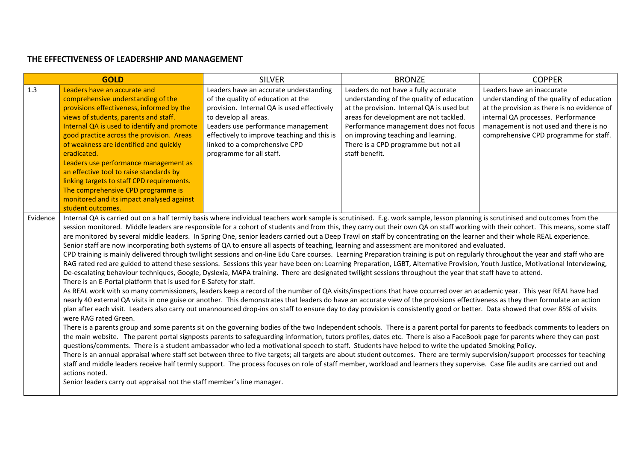|          | <b>GOLD</b>                                                                                                                                                                                                                                                                                                                                                                                                                                                                                                                                                                                                                                                                                                                                                                                                                                                                                                                                                                                                                                                                                                                                                                                                                                                                                                                                                                                                                                                                                                                                                                                                                                                                                                                                                                                                                                                                                                                                                                                                                                                                                                                                                                                                                                                                                                                                                                                                                                                                                                                                                                                                                                                                                                                                                                                                                                                                   | <b>SILVER</b>                                                                                                                                                                                                                                                                                         | <b>BRONZE</b>                                                                                                                                                                                                                                                                                                      | <b>COPPER</b>                                                                                                                                                                                                                                    |  |
|----------|-------------------------------------------------------------------------------------------------------------------------------------------------------------------------------------------------------------------------------------------------------------------------------------------------------------------------------------------------------------------------------------------------------------------------------------------------------------------------------------------------------------------------------------------------------------------------------------------------------------------------------------------------------------------------------------------------------------------------------------------------------------------------------------------------------------------------------------------------------------------------------------------------------------------------------------------------------------------------------------------------------------------------------------------------------------------------------------------------------------------------------------------------------------------------------------------------------------------------------------------------------------------------------------------------------------------------------------------------------------------------------------------------------------------------------------------------------------------------------------------------------------------------------------------------------------------------------------------------------------------------------------------------------------------------------------------------------------------------------------------------------------------------------------------------------------------------------------------------------------------------------------------------------------------------------------------------------------------------------------------------------------------------------------------------------------------------------------------------------------------------------------------------------------------------------------------------------------------------------------------------------------------------------------------------------------------------------------------------------------------------------------------------------------------------------------------------------------------------------------------------------------------------------------------------------------------------------------------------------------------------------------------------------------------------------------------------------------------------------------------------------------------------------------------------------------------------------------------------------------------------------|-------------------------------------------------------------------------------------------------------------------------------------------------------------------------------------------------------------------------------------------------------------------------------------------------------|--------------------------------------------------------------------------------------------------------------------------------------------------------------------------------------------------------------------------------------------------------------------------------------------------------------------|--------------------------------------------------------------------------------------------------------------------------------------------------------------------------------------------------------------------------------------------------|--|
| 1.3      | Leaders have an accurate and<br>comprehensive understanding of the<br>provisions effectiveness, informed by the<br>views of students, parents and staff.<br>Internal QA is used to identify and promote<br>good practice across the provision. Areas<br>of weakness are identified and quickly<br>eradicated.<br>Leaders use performance management as<br>an effective tool to raise standards by<br>linking targets to staff CPD requirements.<br>The comprehensive CPD programme is<br>monitored and its impact analysed against<br>student outcomes.                                                                                                                                                                                                                                                                                                                                                                                                                                                                                                                                                                                                                                                                                                                                                                                                                                                                                                                                                                                                                                                                                                                                                                                                                                                                                                                                                                                                                                                                                                                                                                                                                                                                                                                                                                                                                                                                                                                                                                                                                                                                                                                                                                                                                                                                                                                       | Leaders have an accurate understanding<br>of the quality of education at the<br>provision. Internal QA is used effectively<br>to develop all areas.<br>Leaders use performance management<br>effectively to improve teaching and this is<br>linked to a comprehensive CPD<br>programme for all staff. | Leaders do not have a fully accurate<br>understanding of the quality of education<br>at the provision. Internal QA is used but<br>areas for development are not tackled.<br>Performance management does not focus<br>on improving teaching and learning.<br>There is a CPD programme but not all<br>staff benefit. | Leaders have an inaccurate<br>understanding of the quality of education<br>at the provision as there is no evidence of<br>internal QA processes. Performance<br>management is not used and there is no<br>comprehensive CPD programme for staff. |  |
| Evidence | Internal QA is carried out on a half termly basis where individual teachers work sample is scrutinised. E.g. work sample, lesson planning is scrutinised and outcomes from the<br>session monitored. Middle leaders are responsible for a cohort of students and from this, they carry out their own QA on staff working with their cohort. This means, some staff<br>are monitored by several middle leaders. In Spring One, senior leaders carried out a Deep Trawl on staff by concentrating on the learner and their whole REAL experience.<br>Senior staff are now incorporating both systems of QA to ensure all aspects of teaching, learning and assessment are monitored and evaluated.<br>CPD training is mainly delivered through twilight sessions and on-line Edu Care courses. Learning Preparation training is put on regularly throughout the year and staff who are<br>RAG rated red are guided to attend these sessions. Sessions this year have been on: Learning Preparation, LGBT, Alternative Provision, Youth Justice, Motivational Interviewing,<br>De-escalating behaviour techniques, Google, Dyslexia, MAPA training. There are designated twilight sessions throughout the year that staff have to attend.<br>There is an E-Portal platform that is used for E-Safety for staff.<br>As REAL work with so many commissioners, leaders keep a record of the number of QA visits/inspections that have occurred over an academic year. This year REAL have had<br>nearly 40 external QA visits in one guise or another. This demonstrates that leaders do have an accurate view of the provisions effectiveness as they then formulate an action<br>plan after each visit. Leaders also carry out unannounced drop-ins on staff to ensure day to day provision is consistently good or better. Data showed that over 85% of visits<br>were RAG rated Green.<br>There is a parents group and some parents sit on the governing bodies of the two Independent schools. There is a parent portal for parents to feedback comments to leaders on<br>the main website. The parent portal signposts parents to safeguarding information, tutors profiles, dates etc. There is also a FaceBook page for parents where they can post<br>questions/comments. There is a student ambassador who led a motivational speech to staff. Students have helped to write the updated Smoking Policy.<br>There is an annual appraisal where staff set between three to five targets; all targets are about student outcomes. There are termly supervision/support processes for teaching<br>staff and middle leaders receive half termly support. The process focuses on role of staff member, workload and learners they supervise. Case file audits are carried out and<br>actions noted.<br>Senior leaders carry out appraisal not the staff member's line manager. |                                                                                                                                                                                                                                                                                                       |                                                                                                                                                                                                                                                                                                                    |                                                                                                                                                                                                                                                  |  |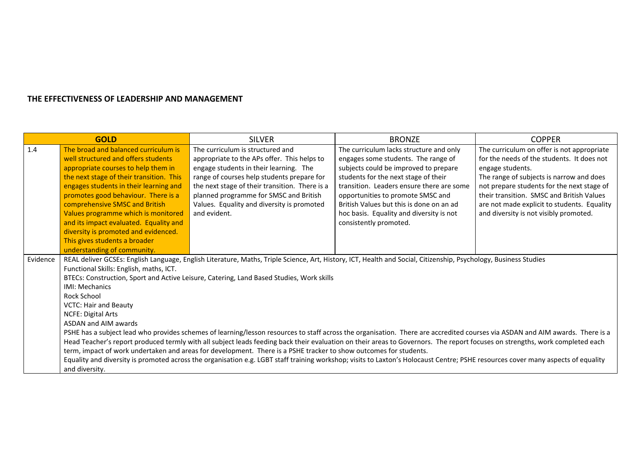|          | <b>GOLD</b>                                                                                                                                                                   | <b>SILVER</b>                                                                                                                                                                    | <b>BRONZE</b>                             | <b>COPPER</b>                               |  |  |
|----------|-------------------------------------------------------------------------------------------------------------------------------------------------------------------------------|----------------------------------------------------------------------------------------------------------------------------------------------------------------------------------|-------------------------------------------|---------------------------------------------|--|--|
| 1.4      | The broad and balanced curriculum is                                                                                                                                          | The curriculum is structured and                                                                                                                                                 | The curriculum lacks structure and only   | The curriculum on offer is not appropriate  |  |  |
|          | well structured and offers students                                                                                                                                           | appropriate to the APs offer. This helps to                                                                                                                                      | engages some students. The range of       | for the needs of the students. It does not  |  |  |
|          | appropriate courses to help them in                                                                                                                                           | engage students in their learning. The                                                                                                                                           | subjects could be improved to prepare     | engage students.                            |  |  |
|          | the next stage of their transition. This                                                                                                                                      | range of courses help students prepare for                                                                                                                                       | students for the next stage of their      | The range of subjects is narrow and does    |  |  |
|          | engages students in their learning and                                                                                                                                        | the next stage of their transition. There is a                                                                                                                                   | transition. Leaders ensure there are some | not prepare students for the next stage of  |  |  |
|          | promotes good behaviour. There is a                                                                                                                                           | planned programme for SMSC and British                                                                                                                                           | opportunities to promote SMSC and         | their transition. SMSC and British Values   |  |  |
|          | comprehensive SMSC and British                                                                                                                                                | Values. Equality and diversity is promoted                                                                                                                                       | British Values but this is done on an ad  | are not made explicit to students. Equality |  |  |
|          | Values programme which is monitored                                                                                                                                           | and evident.                                                                                                                                                                     | hoc basis. Equality and diversity is not  | and diversity is not visibly promoted.      |  |  |
|          | and its impact evaluated. Equality and                                                                                                                                        |                                                                                                                                                                                  | consistently promoted.                    |                                             |  |  |
|          | diversity is promoted and evidenced.                                                                                                                                          |                                                                                                                                                                                  |                                           |                                             |  |  |
|          | This gives students a broader                                                                                                                                                 |                                                                                                                                                                                  |                                           |                                             |  |  |
|          | understanding of community.                                                                                                                                                   |                                                                                                                                                                                  |                                           |                                             |  |  |
| Evidence |                                                                                                                                                                               | REAL deliver GCSEs: English Language, English Literature, Maths, Triple Science, Art, History, ICT, Health and Social, Citizenship, Psychology, Business Studies                 |                                           |                                             |  |  |
|          | Functional Skills: English, maths, ICT.                                                                                                                                       |                                                                                                                                                                                  |                                           |                                             |  |  |
|          | BTECs: Construction, Sport and Active Leisure, Catering, Land Based Studies, Work skills                                                                                      |                                                                                                                                                                                  |                                           |                                             |  |  |
|          | <b>IMI: Mechanics</b>                                                                                                                                                         |                                                                                                                                                                                  |                                           |                                             |  |  |
|          | <b>Rock School</b>                                                                                                                                                            |                                                                                                                                                                                  |                                           |                                             |  |  |
|          | <b>VCTC: Hair and Beauty</b>                                                                                                                                                  |                                                                                                                                                                                  |                                           |                                             |  |  |
|          | <b>NCFE: Digital Arts</b>                                                                                                                                                     |                                                                                                                                                                                  |                                           |                                             |  |  |
|          | ASDAN and AIM awards                                                                                                                                                          |                                                                                                                                                                                  |                                           |                                             |  |  |
|          | PSHE has a subject lead who provides schemes of learning/lesson resources to staff across the organisation. There are accredited courses via ASDAN and AIM awards. There is a |                                                                                                                                                                                  |                                           |                                             |  |  |
|          | Head Teacher's report produced termly with all subject leads feeding back their evaluation on their areas to Governors. The report focuses on strengths, work completed each  |                                                                                                                                                                                  |                                           |                                             |  |  |
|          |                                                                                                                                                                               | term, impact of work undertaken and areas for development. There is a PSHE tracker to show outcomes for students.                                                                |                                           |                                             |  |  |
|          |                                                                                                                                                                               | Equality and diversity is promoted across the organisation e.g. LGBT staff training workshop; visits to Laxton's Holocaust Centre; PSHE resources cover many aspects of equality |                                           |                                             |  |  |
|          | and diversity.                                                                                                                                                                |                                                                                                                                                                                  |                                           |                                             |  |  |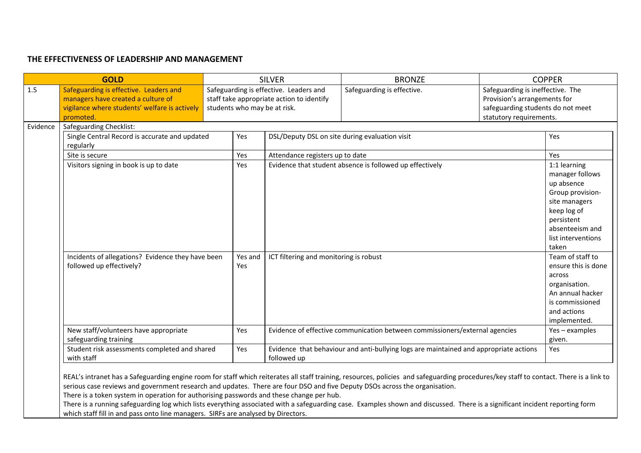|          | <b>GOLD</b>                                                                                                                                |                | <b>SILVER</b>                                                                                                                                                                | <b>BRONZE</b>                                                                         | <b>COPPER</b>                                                                                                                                                     |  |
|----------|--------------------------------------------------------------------------------------------------------------------------------------------|----------------|------------------------------------------------------------------------------------------------------------------------------------------------------------------------------|---------------------------------------------------------------------------------------|-------------------------------------------------------------------------------------------------------------------------------------------------------------------|--|
| 1.5      | Safeguarding is effective. Leaders and<br>managers have created a culture of<br>vigilance where students' welfare is actively<br>promoted. |                | Safeguarding is effective. Leaders and<br>Safeguarding is effective.<br>staff take appropriate action to identify<br>students who may be at risk.<br>statutory requirements. |                                                                                       | Safeguarding is ineffective. The<br>Provision's arrangements for<br>safeguarding students do not meet                                                             |  |
| Evidence | <b>Safeguarding Checklist:</b>                                                                                                             |                |                                                                                                                                                                              |                                                                                       |                                                                                                                                                                   |  |
|          | Single Central Record is accurate and updated<br>regularly                                                                                 | Yes            |                                                                                                                                                                              | DSL/Deputy DSL on site during evaluation visit                                        | Yes                                                                                                                                                               |  |
|          | Site is secure                                                                                                                             | Yes            | Attendance registers up to date                                                                                                                                              |                                                                                       | Yes                                                                                                                                                               |  |
|          | Visitors signing in book is up to date                                                                                                     | Yes            | Evidence that student absence is followed up effectively                                                                                                                     |                                                                                       | 1:1 learning<br>manager follows<br>up absence<br>Group provision-<br>site managers<br>keep log of<br>persistent<br>absenteeism and<br>list interventions<br>taken |  |
|          | Incidents of allegations? Evidence they have been<br>followed up effectively?                                                              | Yes and<br>Yes | ICT filtering and monitoring is robust                                                                                                                                       |                                                                                       | Team of staff to<br>ensure this is done<br>across<br>organisation.<br>An annual hacker<br>is commissioned<br>and actions<br>implemented.                          |  |
|          | New staff/volunteers have appropriate<br>safeguarding training                                                                             | Yes            |                                                                                                                                                                              | Evidence of effective communication between commissioners/external agencies           | Yes - examples<br>given.                                                                                                                                          |  |
|          | Student risk assessments completed and shared<br>with staff                                                                                | Yes            | followed up                                                                                                                                                                  | Evidence that behaviour and anti-bullying logs are maintained and appropriate actions | Yes                                                                                                                                                               |  |

REAL's intranet has a Safeguarding engine room for staff which reiterates all staff training, resources, policies and safeguarding procedures/key staff to contact. There is a link to serious case reviews and government research and updates. There are four DSO and five Deputy DSOs across the organisation.

There is a token system in operation for authorising passwords and these change per hub.

There is a running safeguarding log which lists everything associated with a safeguarding case. Examples shown and discussed. There is a significant incident reporting form which staff fill in and pass onto line managers. SIRFs are analysed by Directors.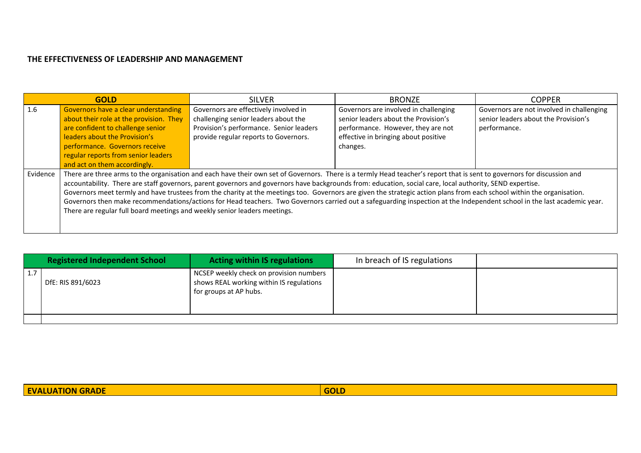|          | <b>GOLD</b>                                                                                                                                                                                                                                                                                                                                                                                                                                                                                                                                                                                                                                                                                                                                                            | <b>SILVER</b>                                                                                                                                                     | <b>BRONZE</b>                                                                                                                                                           | <b>COPPER</b>                                                                                     |  |  |
|----------|------------------------------------------------------------------------------------------------------------------------------------------------------------------------------------------------------------------------------------------------------------------------------------------------------------------------------------------------------------------------------------------------------------------------------------------------------------------------------------------------------------------------------------------------------------------------------------------------------------------------------------------------------------------------------------------------------------------------------------------------------------------------|-------------------------------------------------------------------------------------------------------------------------------------------------------------------|-------------------------------------------------------------------------------------------------------------------------------------------------------------------------|---------------------------------------------------------------------------------------------------|--|--|
| 1.6      | Governors have a clear understanding<br>about their role at the provision. They<br>are confident to challenge senior<br>leaders about the Provision's<br>performance. Governors receive<br>regular reports from senior leaders<br>and act on them accordingly.                                                                                                                                                                                                                                                                                                                                                                                                                                                                                                         | Governors are effectively involved in<br>challenging senior leaders about the<br>Provision's performance. Senior leaders<br>provide regular reports to Governors. | Governors are involved in challenging<br>senior leaders about the Provision's<br>performance. However, they are not<br>effective in bringing about positive<br>changes. | Governors are not involved in challenging<br>senior leaders about the Provision's<br>performance. |  |  |
| Evidence | There are three arms to the organisation and each have their own set of Governors. There is a termly Head teacher's report that is sent to governors for discussion and<br>accountability. There are staff governors, parent governors and governors have backgrounds from: education, social care, local authority, SEND expertise.<br>Governors meet termly and have trustees from the charity at the meetings too. Governors are given the strategic action plans from each school within the organisation.<br>Governors then make recommendations/actions for Head teachers. Two Governors carried out a safeguarding inspection at the Independent school in the last academic year.<br>There are regular full board meetings and weekly senior leaders meetings. |                                                                                                                                                                   |                                                                                                                                                                         |                                                                                                   |  |  |

|           | <b>Registered Independent School</b> | <b>Acting within IS regulations</b>                                                                           | In breach of IS regulations |  |
|-----------|--------------------------------------|---------------------------------------------------------------------------------------------------------------|-----------------------------|--|
| <b>1.</b> | DfE: RIS 891/6023                    | NCSEP weekly check on provision numbers<br>shows REAL working within IS regulations<br>for groups at AP hubs. |                             |  |
|           |                                      |                                                                                                               |                             |  |

| <b>GOLD</b><br><b>EVALUATION GRADE</b> |  |
|----------------------------------------|--|
|                                        |  |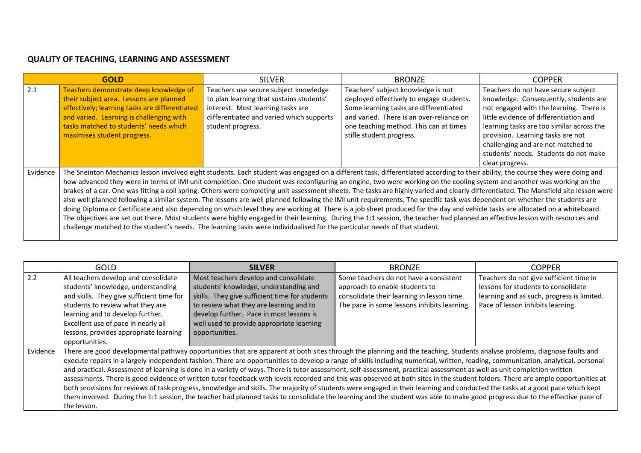|          | <b>GOLD</b>                                                                                                                                                                                                                                                                                                                                                                                                                                                                                                                                                                                                                                                                                                                                                                                                                                                                                                                                                                                                                                                                                                                                                                                                                       | <b>SILVER</b>                                                                                                                                                                           | <b>BRONZE</b>                                                                                                                                                                                                                              | <b>COPPER</b>                                                                                                                                                                                                                                                                                                                                         |  |
|----------|-----------------------------------------------------------------------------------------------------------------------------------------------------------------------------------------------------------------------------------------------------------------------------------------------------------------------------------------------------------------------------------------------------------------------------------------------------------------------------------------------------------------------------------------------------------------------------------------------------------------------------------------------------------------------------------------------------------------------------------------------------------------------------------------------------------------------------------------------------------------------------------------------------------------------------------------------------------------------------------------------------------------------------------------------------------------------------------------------------------------------------------------------------------------------------------------------------------------------------------|-----------------------------------------------------------------------------------------------------------------------------------------------------------------------------------------|--------------------------------------------------------------------------------------------------------------------------------------------------------------------------------------------------------------------------------------------|-------------------------------------------------------------------------------------------------------------------------------------------------------------------------------------------------------------------------------------------------------------------------------------------------------------------------------------------------------|--|
| 2.1      | Teachers demonstrate deep knowledge of<br>their subject area. Lessons are planned<br>effectively; learning tasks are differentiated<br>and varied. Learning is challenging with<br>tasks matched to students' needs which<br>maximises student progress.                                                                                                                                                                                                                                                                                                                                                                                                                                                                                                                                                                                                                                                                                                                                                                                                                                                                                                                                                                          | Teachers use secure subject knowledge<br>to plan learning that sustains students'<br>interest. Most learning tasks are<br>differentiated and varied which supports<br>student progress. | Teachers' subject knowledge is not<br>deployed effectively to engage students.<br>Some learning tasks are differentiated<br>and varied. There is an over-reliance on<br>one teaching method. This can at times<br>stifle student progress. | Teachers do not have secure subject<br>knowledge. Consequently, students are<br>not engaged with the learning. There is<br>little evidence of differentiation and<br>learning tasks are too similar across the<br>provision. Learning tasks are not<br>challenging and are not matched to<br>students' needs. Students do not make<br>clear progress. |  |
| Evidence | The Sneinton Mechanics lesson involved eight students. Each student was engaged on a different task, differentiated according to their ability, the course they were doing and<br>how advanced they were in terms of IMI unit completion. One student was reconfiguring an engine, two were working on the cooling system and another was working on the<br>brakes of a car. One was fitting a coil spring. Others were completing unit assessment sheets. The tasks are highly varied and clearly differentiated. The Mansfield site lesson were<br>also well planned following a similar system. The lessons are well planned following the IMI unit requirements. The specific task was dependent on whether the students are<br>doing Diploma or Certificate and also depending on which level they are working at. There is a job sheet produced for the day and vehicle tasks are allocated on a whiteboard.<br>The objectives are set out there. Most students were highly engaged in their learning. During the 1:1 session, the teacher had planned an effective lesson with resources and<br>challenge matched to the student's needs. The learning tasks were individualised for the particular needs of that student. |                                                                                                                                                                                         |                                                                                                                                                                                                                                            |                                                                                                                                                                                                                                                                                                                                                       |  |

|          | <b>GOLD</b>                                                                                                                                                                                                                                                                                                                                                                                                                                                                                                                                                                                                                                                                                                                                                                                                                                                                                                                                                                                                                                                                                                 | <b>SILVER</b>                                                                                                                                                                                                                                                                           | <b>BRONZE</b>                                                                                                                                                         | <b>COPPER</b>                                                                                                                                                     |  |
|----------|-------------------------------------------------------------------------------------------------------------------------------------------------------------------------------------------------------------------------------------------------------------------------------------------------------------------------------------------------------------------------------------------------------------------------------------------------------------------------------------------------------------------------------------------------------------------------------------------------------------------------------------------------------------------------------------------------------------------------------------------------------------------------------------------------------------------------------------------------------------------------------------------------------------------------------------------------------------------------------------------------------------------------------------------------------------------------------------------------------------|-----------------------------------------------------------------------------------------------------------------------------------------------------------------------------------------------------------------------------------------------------------------------------------------|-----------------------------------------------------------------------------------------------------------------------------------------------------------------------|-------------------------------------------------------------------------------------------------------------------------------------------------------------------|--|
| 2.2      | All teachers develop and consolidate<br>students' knowledge, understanding<br>and skills. They give sufficient time for<br>students to review what they are<br>learning and to develop further.<br>Excellent use of pace in nearly all<br>lessons, provides appropriate learning<br>opportunities.                                                                                                                                                                                                                                                                                                                                                                                                                                                                                                                                                                                                                                                                                                                                                                                                          | Most teachers develop and consolidate<br>students' knowledge, understanding and<br>skills. They give sufficient time for students<br>to review what they are learning and to<br>develop further. Pace in most lessons is<br>well used to provide appropriate learning<br>opportunities. | Some teachers do not have a consistent<br>approach to enable students to<br>consolidate their learning in lesson time.<br>The pace in some lessons inhibits learning. | Teachers do not give sufficient time in<br>lessons for students to consolidate<br>learning and as such, progress is limited.<br>Pace of lesson inhibits learning. |  |
| Evidence | There are good developmental pathway opportunities that are apparent at both sites through the planning and the teaching. Students analyse problems, diagnose faults and<br>execute repairs in a largely independent fashion. There are opportunities to develop a range of skills including numerical, written, reading, communication, analytical, personal<br>and practical. Assessment of learning is done in a variety of ways. There is tutor assessment, self-assessment, practical assessment as well as unit completion written<br>assessments. There is good evidence of written tutor feedback with levels recorded and this was observed at both sites in the student folders. There are ample opportunities at<br>both provisions for reviews of task progress, knowledge and skills. The majority of students were engaged in their learning and conducted the tasks at a good pace which kept<br>them involved. During the 1:1 session, the teacher had planned tasks to consolidate the learning and the student was able to make good progress due to the effective pace of<br>the lesson. |                                                                                                                                                                                                                                                                                         |                                                                                                                                                                       |                                                                                                                                                                   |  |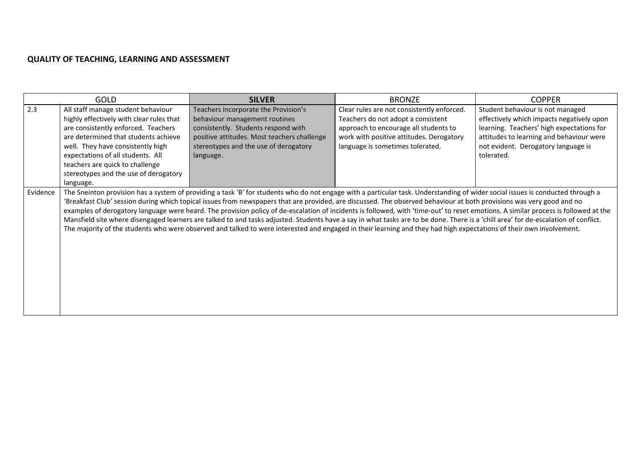| <b>GOLD</b>                                                                                                                                                                                                                                                                                                                             |           | <b>SILVER</b>                                                                                                                                                                                        | <b>BRONZE</b>                                                                                                                                                                                                                                                                                                                                                                                                                                                                                                                                                                                                                                                                                                                                                                                                                                                                                                | <b>COPPER</b>                                                                                                                                                                                                               |
|-----------------------------------------------------------------------------------------------------------------------------------------------------------------------------------------------------------------------------------------------------------------------------------------------------------------------------------------|-----------|------------------------------------------------------------------------------------------------------------------------------------------------------------------------------------------------------|--------------------------------------------------------------------------------------------------------------------------------------------------------------------------------------------------------------------------------------------------------------------------------------------------------------------------------------------------------------------------------------------------------------------------------------------------------------------------------------------------------------------------------------------------------------------------------------------------------------------------------------------------------------------------------------------------------------------------------------------------------------------------------------------------------------------------------------------------------------------------------------------------------------|-----------------------------------------------------------------------------------------------------------------------------------------------------------------------------------------------------------------------------|
| 2.3<br>All staff manage student behaviour<br>highly effectively with clear rules that<br>are consistently enforced. Teachers<br>are determined that students achieve<br>well. They have consistently high<br>expectations of all students. All<br>teachers are quick to challenge<br>stereotypes and the use of derogatory<br>language. | language. | Teachers incorporate the Provision's<br>behaviour management routines<br>consistently. Students respond with<br>positive attitudes. Most teachers challenge<br>stereotypes and the use of derogatory | Clear rules are not consistently enforced.<br>Teachers do not adopt a consistent<br>approach to encourage all students to<br>work with positive attitudes. Derogatory<br>language is sometimes tolerated.                                                                                                                                                                                                                                                                                                                                                                                                                                                                                                                                                                                                                                                                                                    | Student behaviour is not managed<br>effectively which impacts negatively upon<br>learning. Teachers' high expectations for<br>attitudes to learning and behaviour were<br>not evident. Derogatory language is<br>tolerated. |
| Evidence                                                                                                                                                                                                                                                                                                                                |           |                                                                                                                                                                                                      | The Sneinton provision has a system of providing a task 'B' for students who do not engage with a particular task. Understanding of wider social issues is conducted through a<br>'Breakfast Club' session during which topical issues from newspapers that are provided, are discussed. The observed behaviour at both provisions was very good and no<br>examples of derogatory language were heard. The provision policy of de-escalation of incidents is followed, with 'time-out' to reset emotions. A similar process is followed at the<br>Mansfield site where disengaged learners are talked to and tasks adjusted. Students have a say in what tasks are to be done. There is a 'chill area' for de-escalation of conflict.<br>The majority of the students who were observed and talked to were interested and engaged in their learning and they had high expectations of their own involvement. |                                                                                                                                                                                                                             |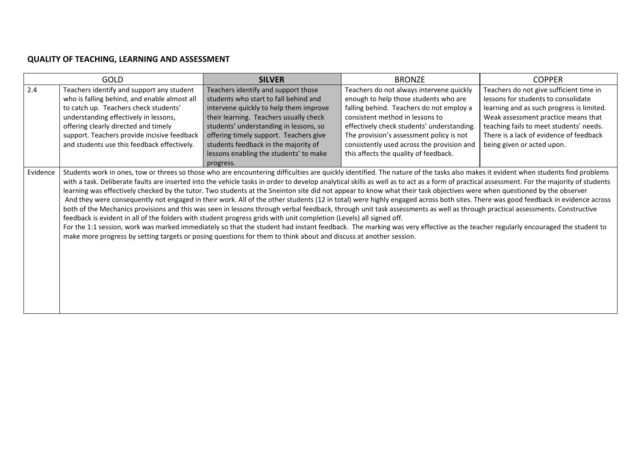|     | <b>GOLD</b>                                                                                                                                                                                                                                                                                                                                                                                                                                                                                                                                                                                                                                                                                                                                                                                                                                                                                                                                                                                                                                                                                                                                                         | <b>SILVER</b>                          | <b>BRONZE</b>                              | <b>COPPER</b>                             |
|-----|---------------------------------------------------------------------------------------------------------------------------------------------------------------------------------------------------------------------------------------------------------------------------------------------------------------------------------------------------------------------------------------------------------------------------------------------------------------------------------------------------------------------------------------------------------------------------------------------------------------------------------------------------------------------------------------------------------------------------------------------------------------------------------------------------------------------------------------------------------------------------------------------------------------------------------------------------------------------------------------------------------------------------------------------------------------------------------------------------------------------------------------------------------------------|----------------------------------------|--------------------------------------------|-------------------------------------------|
| 2.4 | Teachers identify and support any student                                                                                                                                                                                                                                                                                                                                                                                                                                                                                                                                                                                                                                                                                                                                                                                                                                                                                                                                                                                                                                                                                                                           | Teachers identify and support those    | Teachers do not always intervene quickly   | Teachers do not give sufficient time in   |
|     | who is falling behind, and enable almost all                                                                                                                                                                                                                                                                                                                                                                                                                                                                                                                                                                                                                                                                                                                                                                                                                                                                                                                                                                                                                                                                                                                        | students who start to fall behind and  | enough to help those students who are      | lessons for students to consolidate       |
|     | to catch up. Teachers check students'                                                                                                                                                                                                                                                                                                                                                                                                                                                                                                                                                                                                                                                                                                                                                                                                                                                                                                                                                                                                                                                                                                                               | intervene quickly to help them improve | falling behind. Teachers do not employ a   | learning and as such progress is limited. |
|     | understanding effectively in lessons,                                                                                                                                                                                                                                                                                                                                                                                                                                                                                                                                                                                                                                                                                                                                                                                                                                                                                                                                                                                                                                                                                                                               | their learning. Teachers usually check | consistent method in lessons to            | Weak assessment practice means that       |
|     | offering clearly directed and timely                                                                                                                                                                                                                                                                                                                                                                                                                                                                                                                                                                                                                                                                                                                                                                                                                                                                                                                                                                                                                                                                                                                                | students' understanding in lessons, so | effectively check students' understanding. | teaching fails to meet students' needs.   |
|     | support. Teachers provide incisive feedback                                                                                                                                                                                                                                                                                                                                                                                                                                                                                                                                                                                                                                                                                                                                                                                                                                                                                                                                                                                                                                                                                                                         | offering timely support. Teachers give | The provision's assessment policy is not   | There is a lack of evidence of feedback   |
|     | and students use this feedback effectively.                                                                                                                                                                                                                                                                                                                                                                                                                                                                                                                                                                                                                                                                                                                                                                                                                                                                                                                                                                                                                                                                                                                         | students feedback in the majority of   | consistently used across the provision and | being given or acted upon.                |
|     |                                                                                                                                                                                                                                                                                                                                                                                                                                                                                                                                                                                                                                                                                                                                                                                                                                                                                                                                                                                                                                                                                                                                                                     | lessons enabling the students' to make | this affects the quality of feedback.      |                                           |
|     |                                                                                                                                                                                                                                                                                                                                                                                                                                                                                                                                                                                                                                                                                                                                                                                                                                                                                                                                                                                                                                                                                                                                                                     | progress.                              |                                            |                                           |
|     | with a task. Deliberate faults are inserted into the vehicle tasks in order to develop analytical skills as well as to act as a form of practical assessment. For the majority of students<br>learning was effectively checked by the tutor. Two students at the Sneinton site did not appear to know what their task objectives were when questioned by the observer<br>And they were consequently not engaged in their work. All of the other students (12 in total) were highly engaged across both sites. There was good feedback in evidence across<br>both of the Mechanics provisions and this was seen in lessons through verbal feedback, through unit task assessments as well as through practical assessments. Constructive<br>feedback is evident in all of the folders with student progress grids with unit completion (Levels) all signed off.<br>For the 1:1 session, work was marked immediately so that the student had instant feedback. The marking was very effective as the teacher regularly encouraged the student to<br>make more progress by setting targets or posing questions for them to think about and discuss at another session. |                                        |                                            |                                           |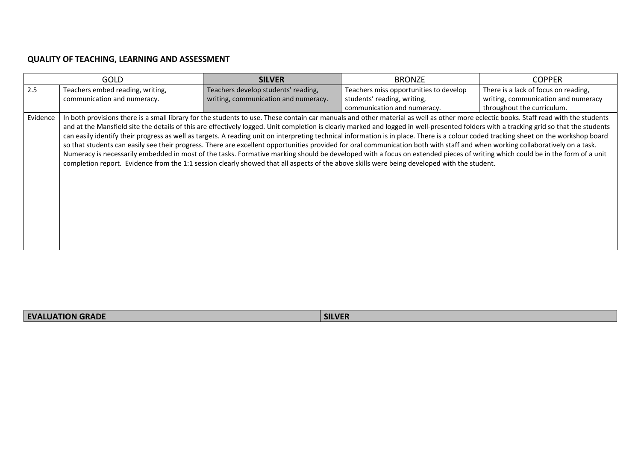|          | <b>GOLD</b>                                                                                                                                                                                                                                                                                                                                                                                                                                                                                                                                                                                                                                                                                                                                                                                                                                                                                                                                                                                                                                                                             | <b>SILVER</b>                        | <b>BRONZE</b>                          | <b>COPPER</b>                        |
|----------|-----------------------------------------------------------------------------------------------------------------------------------------------------------------------------------------------------------------------------------------------------------------------------------------------------------------------------------------------------------------------------------------------------------------------------------------------------------------------------------------------------------------------------------------------------------------------------------------------------------------------------------------------------------------------------------------------------------------------------------------------------------------------------------------------------------------------------------------------------------------------------------------------------------------------------------------------------------------------------------------------------------------------------------------------------------------------------------------|--------------------------------------|----------------------------------------|--------------------------------------|
| 2.5      | Teachers embed reading, writing,                                                                                                                                                                                                                                                                                                                                                                                                                                                                                                                                                                                                                                                                                                                                                                                                                                                                                                                                                                                                                                                        | Teachers develop students' reading,  | Teachers miss opportunities to develop | There is a lack of focus on reading, |
|          | communication and numeracy.                                                                                                                                                                                                                                                                                                                                                                                                                                                                                                                                                                                                                                                                                                                                                                                                                                                                                                                                                                                                                                                             | writing, communication and numeracy. | students' reading, writing,            | writing, communication and numeracy  |
|          |                                                                                                                                                                                                                                                                                                                                                                                                                                                                                                                                                                                                                                                                                                                                                                                                                                                                                                                                                                                                                                                                                         |                                      | communication and numeracy.            | throughout the curriculum.           |
| Evidence | In both provisions there is a small library for the students to use. These contain car manuals and other material as well as other more eclectic books. Staff read with the students<br>and at the Mansfield site the details of this are effectively logged. Unit completion is clearly marked and logged in well-presented folders with a tracking grid so that the students<br>can easily identify their progress as well as targets. A reading unit on interpreting technical information is in place. There is a colour coded tracking sheet on the workshop board<br>so that students can easily see their progress. There are excellent opportunities provided for oral communication both with staff and when working collaboratively on a task.<br>Numeracy is necessarily embedded in most of the tasks. Formative marking should be developed with a focus on extended pieces of writing which could be in the form of a unit<br>completion report. Evidence from the 1:1 session clearly showed that all aspects of the above skills were being developed with the student. |                                      |                                        |                                      |

| <b>EVALUATION GRADE</b> | <b>SILVER</b> |
|-------------------------|---------------|
|-------------------------|---------------|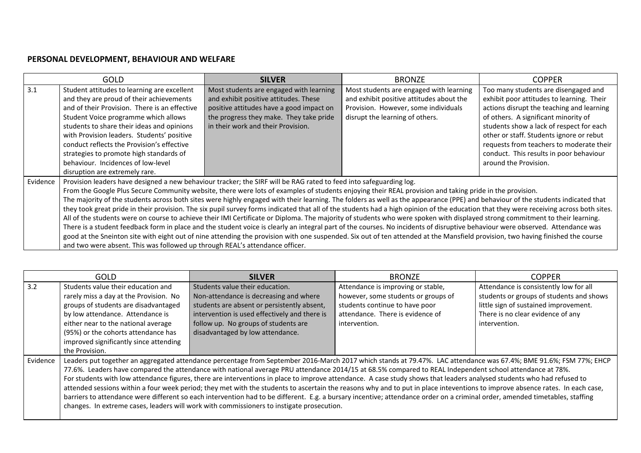# **PERSONAL DEVELOPMENT, BEHAVIOUR AND WELFARE**

|          | <b>GOLD</b>                                                                                                                                                                                                                                                                                                                                                                                                                                                                                                                                                                                                                                                                                                                                                                                                                                                                                                                                                                                                                                                                                                                                                                                                                                                                                       | <b>SILVER</b>                                                                                                                                                                                                 | <b>BRONZE</b>                                                                                                                                                  | <b>COPPER</b>                                                                                                                                                                                                                                                  |
|----------|---------------------------------------------------------------------------------------------------------------------------------------------------------------------------------------------------------------------------------------------------------------------------------------------------------------------------------------------------------------------------------------------------------------------------------------------------------------------------------------------------------------------------------------------------------------------------------------------------------------------------------------------------------------------------------------------------------------------------------------------------------------------------------------------------------------------------------------------------------------------------------------------------------------------------------------------------------------------------------------------------------------------------------------------------------------------------------------------------------------------------------------------------------------------------------------------------------------------------------------------------------------------------------------------------|---------------------------------------------------------------------------------------------------------------------------------------------------------------------------------------------------------------|----------------------------------------------------------------------------------------------------------------------------------------------------------------|----------------------------------------------------------------------------------------------------------------------------------------------------------------------------------------------------------------------------------------------------------------|
| 3.1      | Student attitudes to learning are excellent<br>and they are proud of their achievements<br>and of their Provision. There is an effective<br>Student Voice programme which allows<br>students to share their ideas and opinions<br>with Provision leaders. Students' positive                                                                                                                                                                                                                                                                                                                                                                                                                                                                                                                                                                                                                                                                                                                                                                                                                                                                                                                                                                                                                      | Most students are engaged with learning<br>and exhibit positive attitudes. These<br>positive attitudes have a good impact on<br>the progress they make. They take pride<br>in their work and their Provision. | Most students are engaged with learning<br>and exhibit positive attitudes about the<br>Provision. However, some individuals<br>disrupt the learning of others. | Too many students are disengaged and<br>exhibit poor attitudes to learning. Their<br>actions disrupt the teaching and learning<br>of others. A significant minority of<br>students show a lack of respect for each<br>other or staff. Students ignore or rebut |
|          | conduct reflects the Provision's effective<br>strategies to promote high standards of<br>behaviour. Incidences of low-level<br>disruption are extremely rare.                                                                                                                                                                                                                                                                                                                                                                                                                                                                                                                                                                                                                                                                                                                                                                                                                                                                                                                                                                                                                                                                                                                                     |                                                                                                                                                                                                               |                                                                                                                                                                | requests from teachers to moderate their<br>conduct. This results in poor behaviour<br>around the Provision.                                                                                                                                                   |
| Evidence | Provision leaders have designed a new behaviour tracker; the SIRF will be RAG rated to feed into safeguarding log.<br>From the Google Plus Secure Community website, there were lots of examples of students enjoying their REAL provision and taking pride in the provision.<br>The majority of the students across both sites were highly engaged with their learning. The folders as well as the appearance (PPE) and behaviour of the students indicated that<br>they took great pride in their provision. The six pupil survey forms indicated that all of the students had a high opinion of the education that they were receiving across both sites.<br>All of the students were on course to achieve their IMI Certificate or Diploma. The majority of students who were spoken with displayed strong commitment to their learning.<br>There is a student feedback form in place and the student voice is clearly an integral part of the courses. No incidents of disruptive behaviour were observed. Attendance was<br>good at the Sneinton site with eight out of nine attending the provision with one suspended. Six out of ten attended at the Mansfield provision, two having finished the course<br>and two were absent. This was followed up through REAL's attendance officer. |                                                                                                                                                                                                               |                                                                                                                                                                |                                                                                                                                                                                                                                                                |

|          | <b>GOLD</b>                            | <b>SILVER</b>                                                                                                                                                                 | <b>BRONZE</b>                       | <b>COPPER</b>                            |
|----------|----------------------------------------|-------------------------------------------------------------------------------------------------------------------------------------------------------------------------------|-------------------------------------|------------------------------------------|
| 3.2      | Students value their education and     | Students value their education.                                                                                                                                               | Attendance is improving or stable,  | Attendance is consistently low for all   |
|          | rarely miss a day at the Provision. No | Non-attendance is decreasing and where                                                                                                                                        | however, some students or groups of | students or groups of students and shows |
|          | groups of students are disadvantaged   | students are absent or persistently absent,                                                                                                                                   | students continue to have poor      | little sign of sustained improvement.    |
|          | by low attendance. Attendance is       | intervention is used effectively and there is                                                                                                                                 | attendance. There is evidence of    | There is no clear evidence of any        |
|          | either near to the national average    | follow up. No groups of students are                                                                                                                                          | intervention.                       | intervention.                            |
|          | (95%) or the cohorts attendance has    | disadvantaged by low attendance.                                                                                                                                              |                                     |                                          |
|          | improved significantly since attending |                                                                                                                                                                               |                                     |                                          |
|          | the Provision.                         |                                                                                                                                                                               |                                     |                                          |
| Evidence |                                        | Leaders put together an aggregated attendance percentage from September 2016-March 2017 which stands at 79.47%. LAC attendance was 67.4%; BME 91.6%; FSM 77%; EHCP            |                                     |                                          |
|          |                                        | 77.6%. Leaders have compared the attendance with national average PRU attendance 2014/15 at 68.5% compared to REAL Independent school attendance at 78%.                      |                                     |                                          |
|          |                                        | For students with low attendance figures, there are interventions in place to improve attendance. A case study shows that leaders analysed students who had refused to        |                                     |                                          |
|          |                                        | attended sessions within a four week period; they met with the students to ascertain the reasons why and to put in place inteventions to improve absence rates. In each case, |                                     |                                          |
|          |                                        | barriers to attendance were different so each intervention had to be different. E.g. a bursary incentive; attendance order on a criminal order, amended timetables, staffing  |                                     |                                          |
|          |                                        | changes. In extreme cases, leaders will work with commissioners to instigate prosecution.                                                                                     |                                     |                                          |
|          |                                        |                                                                                                                                                                               |                                     |                                          |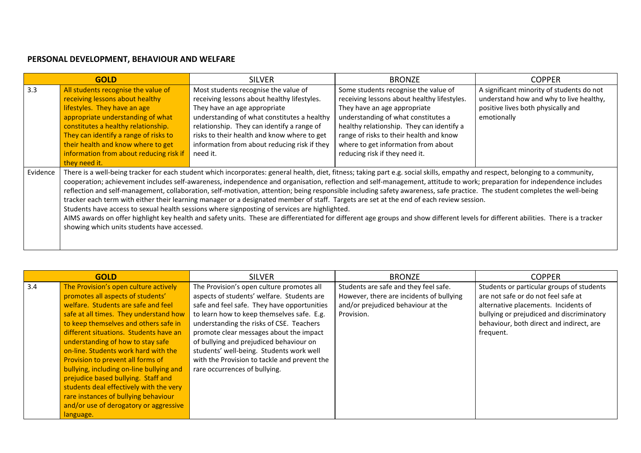### **PERSONAL DEVELOPMENT, BEHAVIOUR AND WELFARE**

|          | <b>GOLD</b>                                                                                                                                                                                                                                                                                                                   | <b>SILVER</b>                                                                                                                                                                                                                                                                                                                                                                                                                                                                                                                                                                                                                                                                                                                                                                                                                                                                                                                                                                    | <b>BRONZE</b>                                                                                                                                                                                                                                                                                                               | <b>COPPER</b>                                                                                                                             |
|----------|-------------------------------------------------------------------------------------------------------------------------------------------------------------------------------------------------------------------------------------------------------------------------------------------------------------------------------|----------------------------------------------------------------------------------------------------------------------------------------------------------------------------------------------------------------------------------------------------------------------------------------------------------------------------------------------------------------------------------------------------------------------------------------------------------------------------------------------------------------------------------------------------------------------------------------------------------------------------------------------------------------------------------------------------------------------------------------------------------------------------------------------------------------------------------------------------------------------------------------------------------------------------------------------------------------------------------|-----------------------------------------------------------------------------------------------------------------------------------------------------------------------------------------------------------------------------------------------------------------------------------------------------------------------------|-------------------------------------------------------------------------------------------------------------------------------------------|
| 3.3      | All students recognise the value of<br>receiving lessons about healthy<br>lifestyles. They have an age<br>appropriate understanding of what<br>constitutes a healthy relationship.<br>They can identify a range of risks to<br>their health and know where to get<br>information from about reducing risk if<br>they need it. | Most students recognise the value of<br>receiving lessons about healthy lifestyles.<br>They have an age appropriate<br>understanding of what constitutes a healthy<br>relationship. They can identify a range of<br>risks to their health and know where to get<br>information from about reducing risk if they<br>need it.                                                                                                                                                                                                                                                                                                                                                                                                                                                                                                                                                                                                                                                      | Some students recognise the value of<br>receiving lessons about healthy lifestyles.<br>They have an age appropriate<br>understanding of what constitutes a<br>healthy relationship. They can identify a<br>range of risks to their health and know<br>where to get information from about<br>reducing risk if they need it. | A significant minority of students do not<br>understand how and why to live healthy,<br>positive lives both physically and<br>emotionally |
| Evidence | showing which units students have accessed.                                                                                                                                                                                                                                                                                   | There is a well-being tracker for each student which incorporates: general health, diet, fitness; taking part e.g. social skills, empathy and respect, belonging to a community,<br>cooperation; achievement includes self-awareness, independence and organisation, reflection and self-management, attitude to work; preparation for independence includes<br>reflection and self-management, collaboration, self-motivation, attention; being responsible including safety awareness, safe practice. The student completes the well-being<br>tracker each term with either their learning manager or a designated member of staff. Targets are set at the end of each review session.<br>Students have access to sexual health sessions where signposting of services are highlighted.<br>AIMS awards on offer highlight key health and safety units. These are differentiated for different age groups and show different levels for different abilities. There is a tracker |                                                                                                                                                                                                                                                                                                                             |                                                                                                                                           |

|     | <b>GOLD</b>                              | <b>SILVER</b>                                | <b>BRONZE</b>                            | <b>COPPER</b>                             |
|-----|------------------------------------------|----------------------------------------------|------------------------------------------|-------------------------------------------|
| 3.4 | The Provision's open culture actively    | The Provision's open culture promotes all    | Students are safe and they feel safe.    | Students or particular groups of students |
|     | promotes all aspects of students'        | aspects of students' welfare. Students are   | However, there are incidents of bullying | are not safe or do not feel safe at       |
|     | welfare. Students are safe and feel      | safe and feel safe. They have opportunities  | and/or prejudiced behaviour at the       | alternative placements. Incidents of      |
|     | safe at all times. They understand how   | to learn how to keep themselves safe. E.g.   | Provision.                               | bullying or prejudiced and discriminatory |
|     | to keep themselves and others safe in    | understanding the risks of CSE. Teachers     |                                          | behaviour, both direct and indirect, are  |
|     | different situations. Students have an   | promote clear messages about the impact      |                                          | frequent.                                 |
|     | understanding of how to stay safe        | of bullying and prejudiced behaviour on      |                                          |                                           |
|     | on-line. Students work hard with the     | students' well-being. Students work well     |                                          |                                           |
|     | Provision to prevent all forms of        | with the Provision to tackle and prevent the |                                          |                                           |
|     | bullying, including on-line bullying and | rare occurrences of bullying.                |                                          |                                           |
|     | prejudice based bullying. Staff and      |                                              |                                          |                                           |
|     | students deal effectively with the very  |                                              |                                          |                                           |
|     | rare instances of bullying behaviour     |                                              |                                          |                                           |
|     | and/or use of derogatory or aggressive   |                                              |                                          |                                           |
|     | language.                                |                                              |                                          |                                           |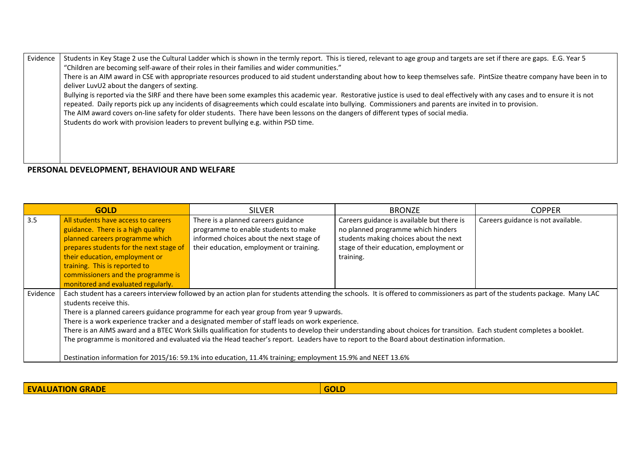Evidence | Students in Key Stage 2 use the Cultural Ladder which is shown in the termly report. This is tiered, relevant to age group and targets are set if there are gaps. E.G. Year 5 "Children are becoming self-aware of their roles in their families and wider communities." There is an AIM award in CSE with appropriate resources produced to aid student understanding about how to keep themselves safe. PintSize theatre company have been in to deliver LuvU2 about the dangers of sexting. Bullying is reported via the SIRF and there have been some examples this academic year. Restorative justice is used to deal effectively with any cases and to ensure it is not repeated. Daily reports pick up any incidents of disagreements which could escalate into bullying. Commissioners and parents are invited in to provision. The AIM award covers on-line safety for older students. There have been lessons on the dangers of different types of social media. Students do work with provision leaders to prevent bullying e.g. within PSD time.

#### **PERSONAL DEVELOPMENT, BEHAVIOUR AND WELFARE**

|          | <b>GOLD</b>                             | <b>SILVER</b>                                                                                                                                                                | <b>BRONZE</b>                              | <b>COPPER</b>                      |
|----------|-----------------------------------------|------------------------------------------------------------------------------------------------------------------------------------------------------------------------------|--------------------------------------------|------------------------------------|
| 3.5      | All students have access to careers     | There is a planned careers guidance                                                                                                                                          | Careers guidance is available but there is | Careers guidance is not available. |
|          | guidance. There is a high quality       | programme to enable students to make                                                                                                                                         | no planned programme which hinders         |                                    |
|          | planned careers programme which         | informed choices about the next stage of                                                                                                                                     | students making choices about the next     |                                    |
|          | prepares students for the next stage of | their education, employment or training.                                                                                                                                     | stage of their education, employment or    |                                    |
|          | their education, employment or          |                                                                                                                                                                              | training.                                  |                                    |
|          | training. This is reported to           |                                                                                                                                                                              |                                            |                                    |
|          | commissioners and the programme is      |                                                                                                                                                                              |                                            |                                    |
|          | monitored and evaluated regularly.      |                                                                                                                                                                              |                                            |                                    |
| Evidence |                                         | Each student has a careers interview followed by an action plan for students attending the schools. It is offered to commissioners as part of the students package. Many LAC |                                            |                                    |
|          | students receive this.                  |                                                                                                                                                                              |                                            |                                    |
|          |                                         | There is a planned careers guidance programme for each year group from year 9 upwards.                                                                                       |                                            |                                    |
|          |                                         | There is a work experience tracker and a designated member of staff leads on work experience.                                                                                |                                            |                                    |
|          |                                         | There is an AIMS award and a BTEC Work Skills qualification for students to develop their understanding about choices for transition. Each student completes a booklet.      |                                            |                                    |
|          |                                         | The programme is monitored and evaluated via the Head teacher's report. Leaders have to report to the Board about destination information.                                   |                                            |                                    |
|          |                                         |                                                                                                                                                                              |                                            |                                    |
|          |                                         | Destination information for 2015/16: 59.1% into education, 11.4% training; employment 15.9% and NEET 13.6%                                                                   |                                            |                                    |

**EVALUATION GRADE GOLD**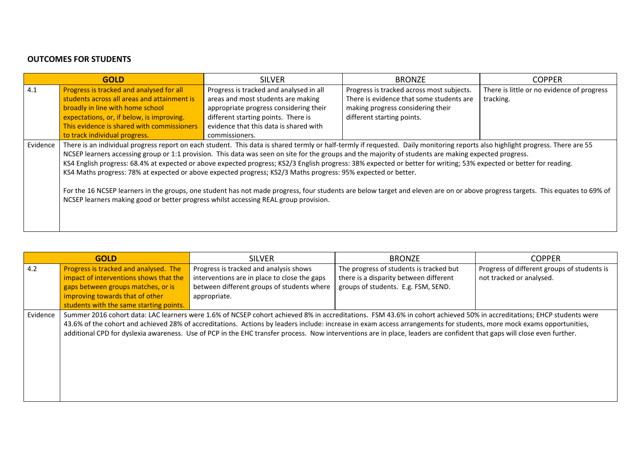### **OUTCOMES FOR STUDENTS**

|          | <b>GOLD</b>                                                                                                                                                                    | <b>SILVER</b>                           | <b>BRONZE</b>                             | <b>COPPER</b>                              |
|----------|--------------------------------------------------------------------------------------------------------------------------------------------------------------------------------|-----------------------------------------|-------------------------------------------|--------------------------------------------|
| 4.1      | Progress is tracked and analysed for all                                                                                                                                       | Progress is tracked and analysed in all | Progress is tracked across most subjects. | There is little or no evidence of progress |
|          | students across all areas and attainment is                                                                                                                                    | areas and most students are making      | There is evidence that some students are  | tracking.                                  |
|          | broadly in line with home school                                                                                                                                               | appropriate progress considering their  | making progress considering their         |                                            |
|          | expectations, or, if below, is improving.                                                                                                                                      | different starting points. There is     | different starting points.                |                                            |
|          | This evidence is shared with commissioners                                                                                                                                     | evidence that this data is shared with  |                                           |                                            |
|          | to track individual progress.                                                                                                                                                  | commissioners.                          |                                           |                                            |
| Evidence | There is an individual progress report on each student. This data is shared termly or half-termly if requested. Daily monitoring reports also highlight progress. There are 55 |                                         |                                           |                                            |
|          | NCSEP learners accessing group or 1:1 provision. This data was seen on site for the groups and the majority of students are making expected progress.                          |                                         |                                           |                                            |
|          | KS4 English progress: 68.4% at expected or above expected progress; KS2/3 English progress: 38% expected or better for writing; 53% expected or better for reading.            |                                         |                                           |                                            |
|          | KS4 Maths progress: 78% at expected or above expected progress; KS2/3 Maths progress: 95% expected or better.                                                                  |                                         |                                           |                                            |
|          |                                                                                                                                                                                |                                         |                                           |                                            |
|          | For the 16 NCSEP learners in the groups, one student has not made progress, four students are below target and eleven are on or above progress targets. This equates to 69% of |                                         |                                           |                                            |
|          | NCSEP learners making good or better progress whilst accessing REAL group provision.                                                                                           |                                         |                                           |                                            |
|          |                                                                                                                                                                                |                                         |                                           |                                            |
|          |                                                                                                                                                                                |                                         |                                           |                                            |
|          |                                                                                                                                                                                |                                         |                                           |                                            |

|          | <b>GOLD</b>                             | <b>SILVER</b>                                                                                                                                                           | <b>BRONZE</b>                           | <b>COPPER</b>                               |
|----------|-----------------------------------------|-------------------------------------------------------------------------------------------------------------------------------------------------------------------------|-----------------------------------------|---------------------------------------------|
| 4.2      | Progress is tracked and analysed. The   | Progress is tracked and analysis shows                                                                                                                                  | The progress of students is tracked but | Progress of different groups of students is |
|          | impact of interventions shows that the  | interventions are in place to close the gaps                                                                                                                            | there is a disparity between different  | not tracked or analysed.                    |
|          | gaps between groups matches, or is      | between different groups of students where                                                                                                                              | groups of students. E.g. FSM, SEND.     |                                             |
|          | improving towards that of other         | appropriate.                                                                                                                                                            |                                         |                                             |
|          | students with the same starting points. |                                                                                                                                                                         |                                         |                                             |
| Evidence |                                         | Summer 2016 cohort data: LAC learners were 1.6% of NCSEP cohort achieved 8% in accreditations. FSM 43.6% in cohort achieved 50% in accreditations; EHCP students were   |                                         |                                             |
|          |                                         | 43.6% of the cohort and achieved 28% of accreditations. Actions by leaders include: increase in exam access arrangements for students, more mock exams opportunities,   |                                         |                                             |
|          |                                         | additional CPD for dyslexia awareness. Use of PCP in the EHC transfer process. Now interventions are in place, leaders are confident that gaps will close even further. |                                         |                                             |
|          |                                         |                                                                                                                                                                         |                                         |                                             |
|          |                                         |                                                                                                                                                                         |                                         |                                             |
|          |                                         |                                                                                                                                                                         |                                         |                                             |
|          |                                         |                                                                                                                                                                         |                                         |                                             |
|          |                                         |                                                                                                                                                                         |                                         |                                             |
|          |                                         |                                                                                                                                                                         |                                         |                                             |
|          |                                         |                                                                                                                                                                         |                                         |                                             |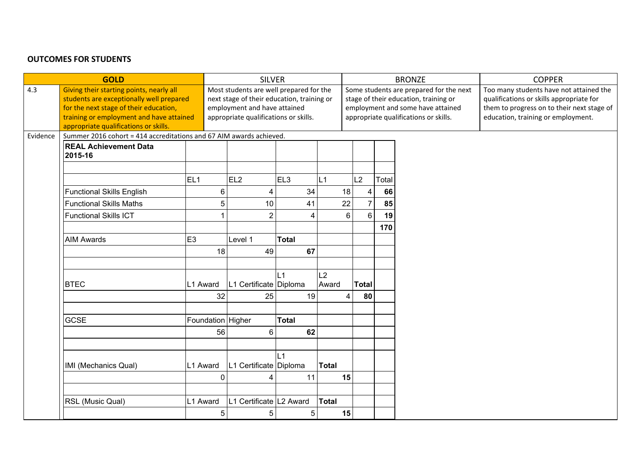### **OUTCOMES FOR STUDENTS**

| Too many students have not attained the<br>qualifications or skills appropriate for<br>them to progress on to their next stage of<br>education, training or employment. |
|-------------------------------------------------------------------------------------------------------------------------------------------------------------------------|
|                                                                                                                                                                         |
|                                                                                                                                                                         |
|                                                                                                                                                                         |
|                                                                                                                                                                         |
|                                                                                                                                                                         |
|                                                                                                                                                                         |
|                                                                                                                                                                         |
|                                                                                                                                                                         |
|                                                                                                                                                                         |
|                                                                                                                                                                         |
|                                                                                                                                                                         |
|                                                                                                                                                                         |
|                                                                                                                                                                         |
|                                                                                                                                                                         |
|                                                                                                                                                                         |
|                                                                                                                                                                         |
|                                                                                                                                                                         |
|                                                                                                                                                                         |
|                                                                                                                                                                         |
|                                                                                                                                                                         |
|                                                                                                                                                                         |
|                                                                                                                                                                         |